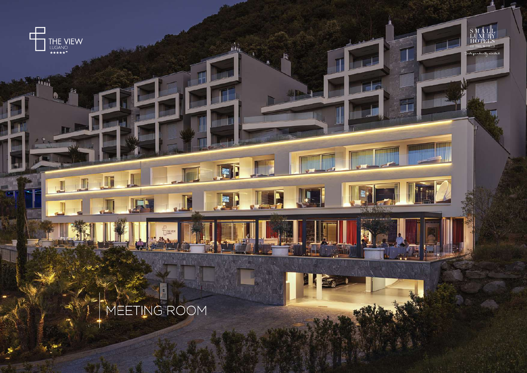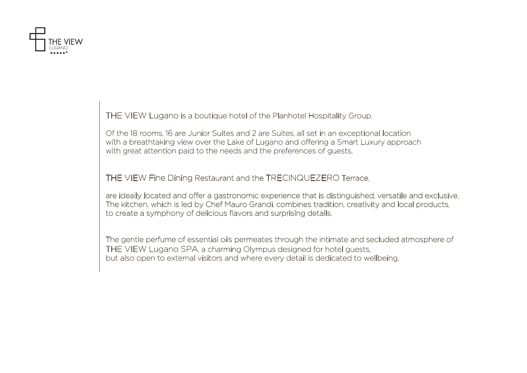

THE VIEW Lugano is a boutique hotel of the Planhotel Hospitality Group.

Of the 18 rooms, 16 are Junior Suites and 2 are Suites, all set in an exceptional location with a breathtaking view over the Lake of Lugano and offering a Smart Luxury approach with great attention paid to the needs and the preferences of guests.

THE VIEW Fine Dining Restaurant and the TRECINQUEZERO Terrace,

are ideally located and offer a gastronomic experience that is distinguished, versatile and exclusive. The kitchen, which is led by Chef Mauro Grandi, combines tradition, creativity and local products, to create a symphony of delicious flavors and surprising details.

The gentle perfume of essential oils permeates through the intimate and secluded atmosphere of THE VIEW Lugano SPA, a charming Olympus designed for hotel guests, but also open to external visitors and where every detail is dedicated to wellbeing.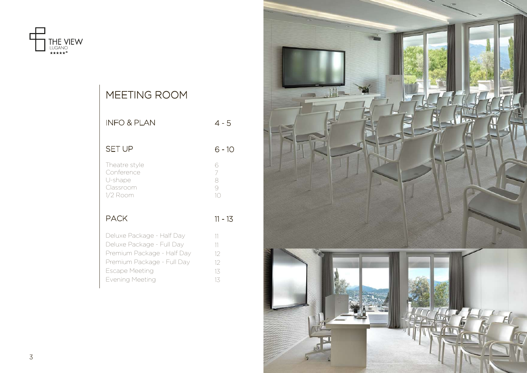

| MEETING ROOM                                                                                                                                                   |                                           |
|----------------------------------------------------------------------------------------------------------------------------------------------------------------|-------------------------------------------|
| <b>INFO &amp; PLAN</b>                                                                                                                                         | $4 - 5$                                   |
| <b>SET UP</b>                                                                                                                                                  | 6 - 10                                    |
| Theatre style<br>Conference<br>U-shape<br>Classroom<br>1/2 Room                                                                                                | 6<br>$\overline{7}$<br>8<br>9<br>$1\circ$ |
| <b>PACK</b>                                                                                                                                                    | 11 - 13                                   |
| Deluxe Package - Half Day<br>Deluxe Package - Full Day<br>Premium Package - Half Day<br>Premium Package - Full Day<br><b>Escape Meeting</b><br>Evening Meeting | 11<br>11<br>12<br>12<br>13<br>13          |

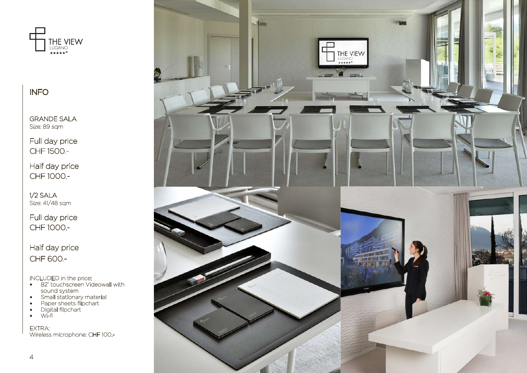

INFO

GRANDE SALA Size: 89 sqm

Full day price CHF 1500.-

Half day price CHF 1000.-

1/2 SALA Size: 41/48 sqm

Full day price CHF 1000.-

Half day price CHF 600.-

INCLUDED in the price:

- 82" touchscreen Videowall with sound system
- Small stationary material
- Paper sheets flipchart
- Digital flipchart
- Wi-fi

EXTRA: Wireless microphone: CHF 100.-

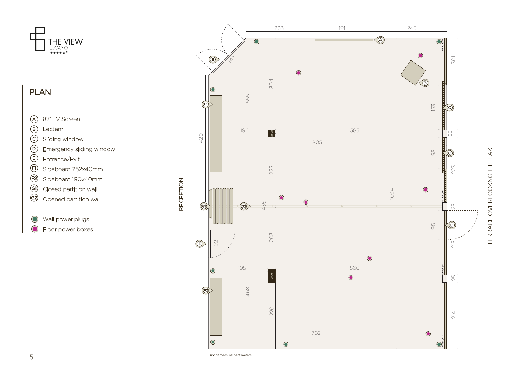

### PLAN

- $\odot$ 82" TV Screen
- $A(\overline{B})(\overline{C})(\overline{D})(\overline{E})$  $\circledR$ Lectern

 $\odot$ Sliding window

- $\odot$ Emergency sliding window
- $\bigcirc$ Entrance/Exit
- $\bigoplus$ Sideboard 252x40mm
- $\odot$ Sideboard 190x40mm
- $\circledS$ Closed partition wall
- $\circled{c}$ Opened partition wall

Wall power plugs  $\bigcirc$ 

 $\bigcirc$ Floor power boxes



TERRACE OVERLOOKNG THE LAKE TERRACE OVERLOOKNG THE LAKE

RECEPTION

RECEPTION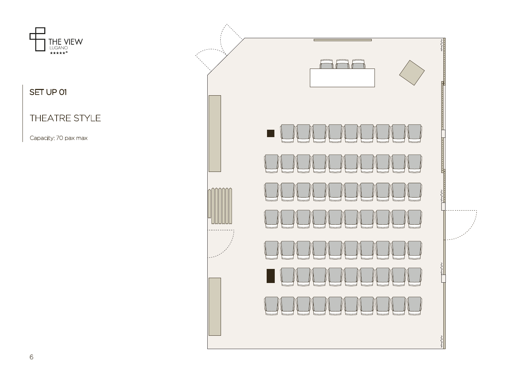

SET UP 01

### THEATRE STYLE

Capacity: 70 pax max

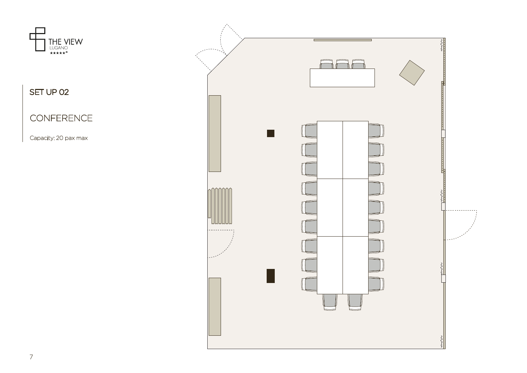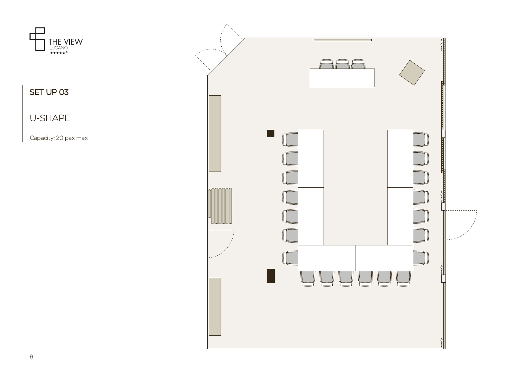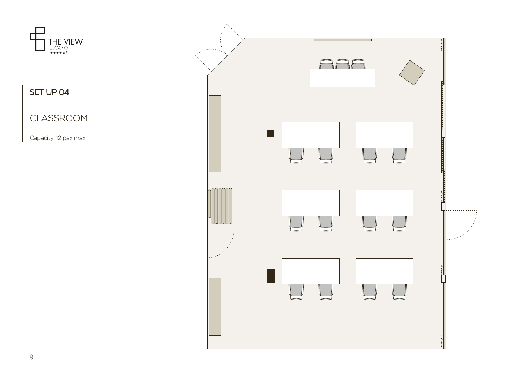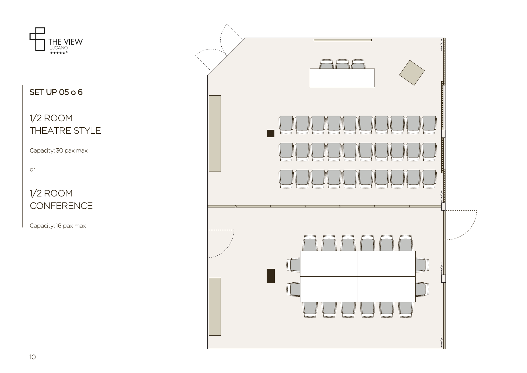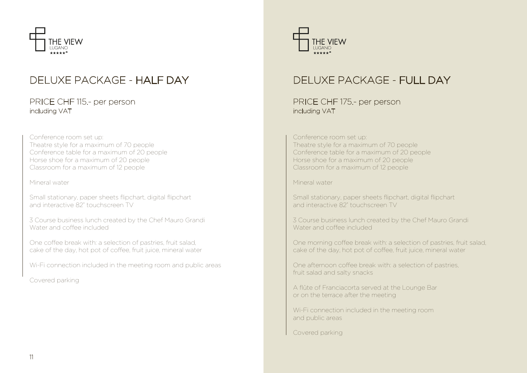

## DELUXE PACKAGE - HALF DAY

#### PRICE CHF 115.- per person including VAT

Conference room set up: Theatre style for a maximum of 70 people Conference table for a maximum of 20 people Horse shoe for a maximum of 20 people Classroom for a maximum of 12 people

Mineral water

Small stationary, paper sheets flipchart, digital flipchart and interactive 82" touchscreen TV

3 Course business lunch created by the Chef Mauro Grandi Water and coffee included

One coffee break with: a selection of pastries, fruit salad, cake of the day, hot pot of coffee, fruit juice, mineral water

Wi-Fi connection included in the meeting room and public areas

Covered parking



# DELUXE PACKAGE - FULL DAY

PRICE CHF 175.- per person including VAT

Conference room set up:

Theatre style for a maximum of 70 people Conference table for a maximum of 20 people Horse shoe for a maximum of 20 people Classroom for a maximum of 12 people

Mineral water

Small stationary, paper sheets flipchart, digital flipchart and interactive 82" touchscreen TV

3 Course business lunch created by the Chef Mauro Grandi Water and coffee included

One morning coffee break with: a selection of pastries, fruit salad, cake of the day, hot pot of coffee, fruit juice, mineral water

One afternoon coffee break with: a selection of pastries, fruit salad and salty snacks

A flûte of Franciacorta served at the Lounge Bar or on the terrace after the meeting

Wi-Fi connection included in the meeting room and public areas

Covered parking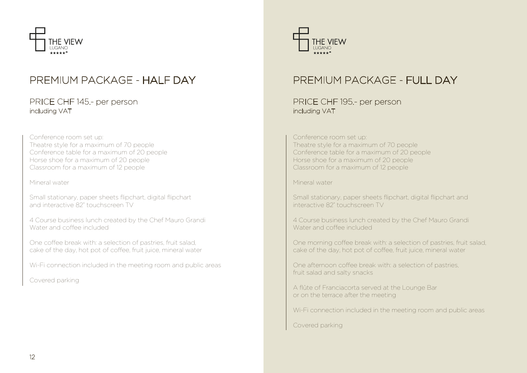

## PREMIUM PACKAGE - HALF DAY

#### PRICE CHF 145.- per person including VAT

Conference room set up: Theatre style for a maximum of 70 people Conference table for a maximum of 20 people Horse shoe for a maximum of 20 people Classroom for a maximum of 12 people

Mineral water

Small stationary, paper sheets flipchart, digital flipchart and interactive 82" touchscreen TV

4 Course business lunch created by the Chef Mauro Grandi Water and coffee included

One coffee break with: a selection of pastries, fruit salad, cake of the day, hot pot of coffee, fruit juice, mineral water

Wi-Fi connection included in the meeting room and public areas

Covered parking



# PREMIUM PACKAGE - FULL DAY

PRICE CHF 195.- per person including VAT

#### Conference room set up:

Theatre style for a maximum of 70 people Conference table for a maximum of 20 people Horse shoe for a maximum of 20 people Classroom for a maximum of 12 people

Mineral water

Small stationary, paper sheets flipchart, digital flipchart and interactive 82" touchscreen TV

4 Course business lunch created by the Chef Mauro Grandi Water and coffee included

One morning coffee break with: a selection of pastries, fruit salad, cake of the day, hot pot of coffee, fruit juice, mineral water

One afternoon coffee break with: a selection of pastries, fruit salad and salty snacks

A flûte of Franciacorta served at the Lounge Bar or on the terrace after the meeting

Wi-Fi connection included in the meeting room and public areas

Covered parking